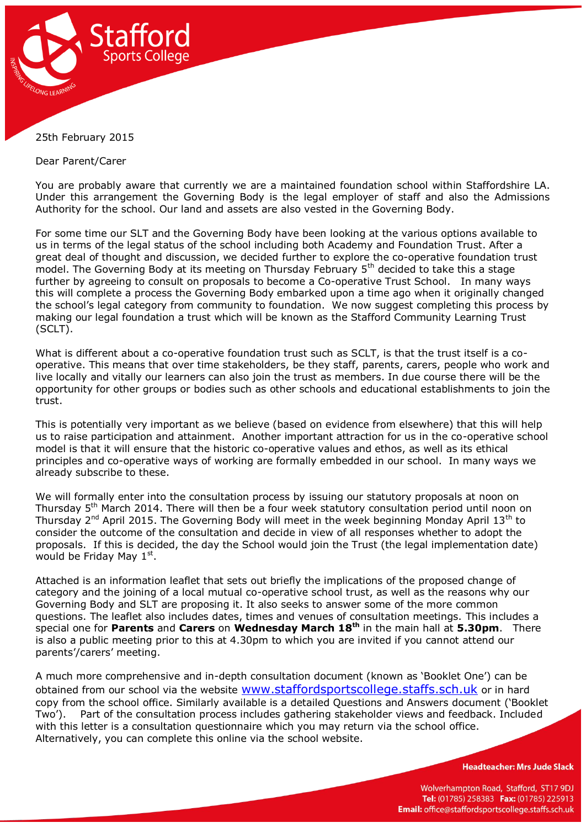

## 25th February 2015

Dear Parent/Carer

You are probably aware that currently we are a maintained foundation school within Staffordshire LA. Under this arrangement the Governing Body is the legal employer of staff and also the Admissions Authority for the school. Our land and assets are also vested in the Governing Body.

For some time our SLT and the Governing Body have been looking at the various options available to us in terms of the legal status of the school including both Academy and Foundation Trust. After a great deal of thought and discussion, we decided further to explore the co-operative foundation trust model. The Governing Body at its meeting on Thursday February 5<sup>th</sup> decided to take this a stage further by agreeing to consult on proposals to become a Co-operative Trust School. In many ways this will complete a process the Governing Body embarked upon a time ago when it originally changed the school's legal category from community to foundation. We now suggest completing this process by making our legal foundation a trust which will be known as the Stafford Community Learning Trust (SCLT).

What is different about a co-operative foundation trust such as SCLT, is that the trust itself is a cooperative. This means that over time stakeholders, be they staff, parents, carers, people who work and live locally and vitally our learners can also join the trust as members. In due course there will be the opportunity for other groups or bodies such as other schools and educational establishments to join the trust.

This is potentially very important as we believe (based on evidence from elsewhere) that this will help us to raise participation and attainment. Another important attraction for us in the co-operative school model is that it will ensure that the historic co-operative values and ethos, as well as its ethical principles and co-operative ways of working are formally embedded in our school. In many ways we already subscribe to these.

We will formally enter into the consultation process by issuing our statutory proposals at noon on Thursday 5<sup>th</sup> March 2014. There will then be a four week statutory consultation period until noon on Thursday 2<sup>nd</sup> April 2015. The Governing Body will meet in the week beginning Monday April 13<sup>th</sup> to consider the outcome of the consultation and decide in view of all responses whether to adopt the proposals. If this is decided, the day the School would join the Trust (the legal implementation date) would be Friday May  $1<sup>st</sup>$ .

Attached is an information leaflet that sets out briefly the implications of the proposed change of category and the joining of a local mutual co-operative school trust, as well as the reasons why our Governing Body and SLT are proposing it. It also seeks to answer some of the more common questions. The leaflet also includes dates, times and venues of consultation meetings. This includes a special one for **Parents** and **Carers** on **Wednesday March 18th** in the main hall at **5.30pm**. There is also a public meeting prior to this at 4.30pm to which you are invited if you cannot attend our parents'/carers' meeting.

A much more comprehensive and in-depth consultation document (known as 'Booklet One') can be obtained from our school via the website [www.staffordsportscollege.staffs.sch.uk](http://www.staffordsportscollege.staffs.sch.uk/) or in hard copy from the school office. Similarly available is a detailed Questions and Answers document ('Booklet Two'). Part of the consultation process includes gathering stakeholder views and feedback. Included with this letter is a consultation questionnaire which you may return via the school office. Alternatively, you can complete this online via the school website.

**Headteacher: Mrs Jude Slack** 

Wolverhampton Road, Stafford, ST17 9DJ Tel: (01785) 258383 Fax: (01785) 225913 Email: office@staffordsportscollege.staffs.sch.uk